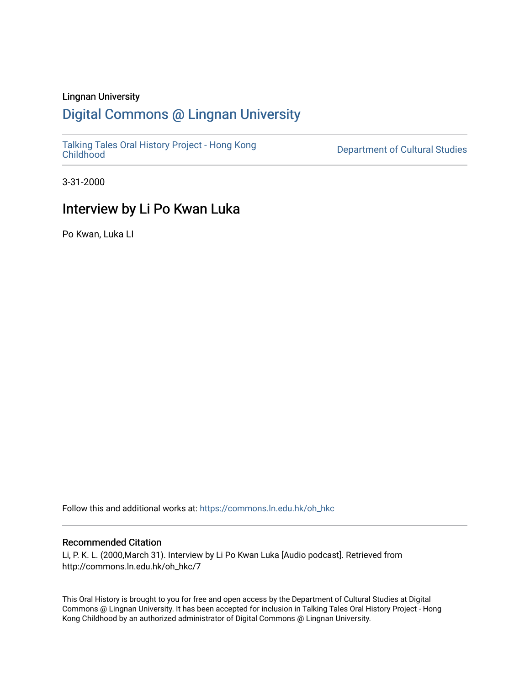#### Lingnan University

# [Digital Commons @ Lingnan University](https://commons.ln.edu.hk/)

[Talking Tales Oral History Project - Hong Kong](https://commons.ln.edu.hk/oh_hkc)

Department of Cultural Studies

3-31-2000

# Interview by Li Po Kwan Luka

Po Kwan, Luka LI

Follow this and additional works at: [https://commons.ln.edu.hk/oh\\_hkc](https://commons.ln.edu.hk/oh_hkc?utm_source=commons.ln.edu.hk%2Foh_hkc%2F7&utm_medium=PDF&utm_campaign=PDFCoverPages) 

#### Recommended Citation

Li, P. K. L. (2000,March 31). Interview by Li Po Kwan Luka [Audio podcast]. Retrieved from http://commons.ln.edu.hk/oh\_hkc/7

This Oral History is brought to you for free and open access by the Department of Cultural Studies at Digital Commons @ Lingnan University. It has been accepted for inclusion in Talking Tales Oral History Project - Hong Kong Childhood by an authorized administrator of Digital Commons @ Lingnan University.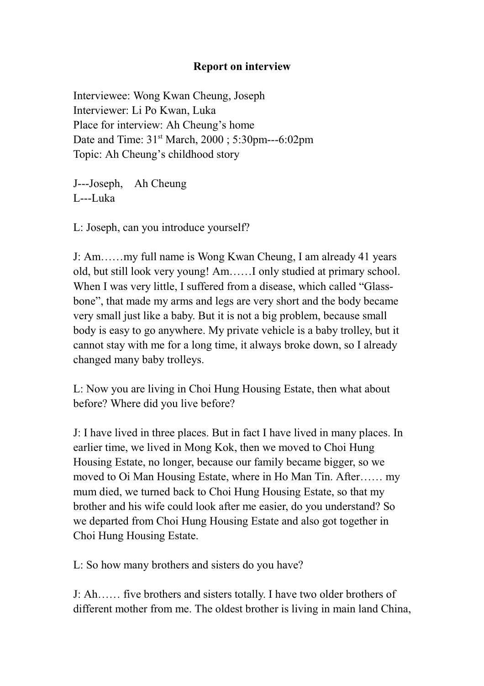### **Report on interview**

Interviewee: Wong Kwan Cheung, Joseph Interviewer: Li Po Kwan, Luka Place for interview: Ah Cheung's home Date and Time: 31<sup>st</sup> March, 2000; 5:30pm---6:02pm Topic: Ah Cheung's childhood story

J---Joseph, Ah Cheung L---Luka

L: Joseph, can you introduce yourself?

J: Am.......my full name is Wong Kwan Cheung, I am already 41 years old, but still look very young! Am...... I only studied at primary school. When I was very little, I suffered from a disease, which called "Glassbone", that made my arms and legs are very short and the body became very small just like a baby. But it is not a big problem, because small body is easy to go anywhere. My private vehicle is a baby trolley, but it cannot stay with me for a long time, it always broke down, so I already changed many baby trolleys.

L: Now you are living in Choi Hung Housing Estate, then what about before? Where did you live before?

J: I have lived in three places. But in fact I have lived in many places. In earlier time, we lived in Mong Kok, then we moved to Choi Hung Housing Estate, no longer, because our family became bigger, so we moved to Oi Man Housing Estate, where in Ho Man Tin. After...... my mum died, we turned back to Choi Hung Housing Estate, so that my brother and his wife could look after me easier, do you understand? So we departed from Choi Hung Housing Estate and also got together in Choi Hung Housing Estate.

L: So how many brothers and sisters do you have?

J: Ah...... five brothers and sisters totally. I have two older brothers of different mother from me. The oldest brother is living in main land China,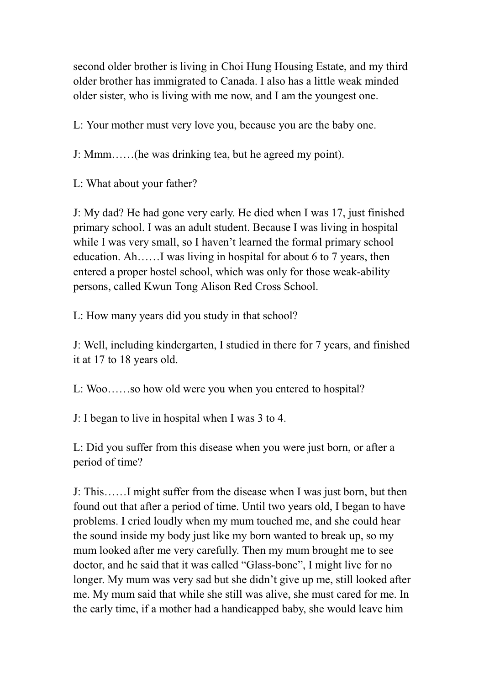second older brother is living in Choi Hung Housing Estate, and my third older brother has immigrated to Canada. I also has a little weak minded older sister, who is living with me now, and I am the youngest one.

L: Your mother must very love you, because you are the baby one.

J: Mmm......(he was drinking tea, but he agreed my point).

L: What about your father?

J: My dad? He had gone very early. He died when I was 17, just finished primary school. I was an adult student. Because I was living in hospital while I was very small, so I haven't learned the formal primary school education. Ah......I was living in hospital for about 6 to 7 years, then entered a proper hostel school, which was only for those weak-ability persons, called Kwun Tong Alison Red Cross School.

L: How many years did you study in that school?

J: Well, including kindergarten, I studied in there for 7 years, and finished it at 17 to 18 years old.

L: Woo......so how old were you when you entered to hospital?

J: I began to live in hospital when I was 3 to 4.

L: Did you suffer from this disease when you were just born, or after a period of time?

J: This.......I might suffer from the disease when I was just born, but then found out that after a period of time. Until two years old, I began to have problems. I cried loudly when my mum touched me, and she could hear the sound inside my body just like my born wanted to break up, so my mum looked after me very carefully. Then my mum brought me to see doctor, and he said that it was called "Glass-bone", I might live for no longer. My mum was very sad but she didn't give up me, still looked after me. My mum said that while she still was alive, she must cared for me. In the early time, if a mother had a handicapped baby, she would leave him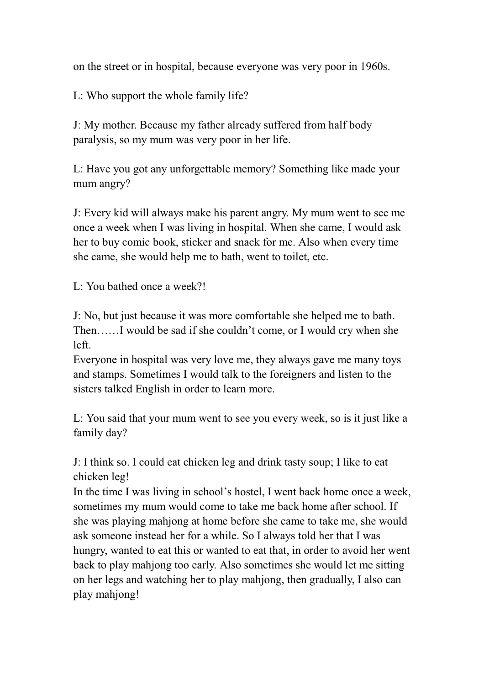on the street or in hospital, because everyone was very poor in 1960s.

L: Who support the whole family life?

J: My mother. Because my father already suffered from half body paralysis, so my mum was very poor in her life.

L: Have you got any unforgettable memory? Something like made your mum angry?

J: Every kid will always make his parent angry. My mum went to see me once a week when I was living in hospital. When she came, I would ask her to buy comic book, sticker and snack for me. Also when every time she came, she would help me to bath, went to toilet, etc.

L: You bathed once a week?!

J: No, but just because it was more comfortable she helped me to bath. Then......I would be sad if she couldn't come, or I would cry when she left.

Everyone in hospital was very love me, they always gave me many toys and stamps. Sometimes I would talk to the foreigners and listen to the sisters talked English in order to learn more.

L: You said that your mum went to see you every week, so is it just like a family day?

J: I think so. I could eat chicken leg and drink tasty soup; I like to eat chicken leg!

In the time I was living in school's hostel, I went back home once a week, sometimes my mum would come to take me back home after school. If she was playing mahiong at home before she came to take me, she would ask someone instead her for a while. So I always told her that I was hungry, wanted to eat this or wanted to eat that, in order to avoid her went back to play mahjong too early. Also sometimes she would let me sitting on her legs and watching her to play mahjong, then gradually, I also can play mahjong!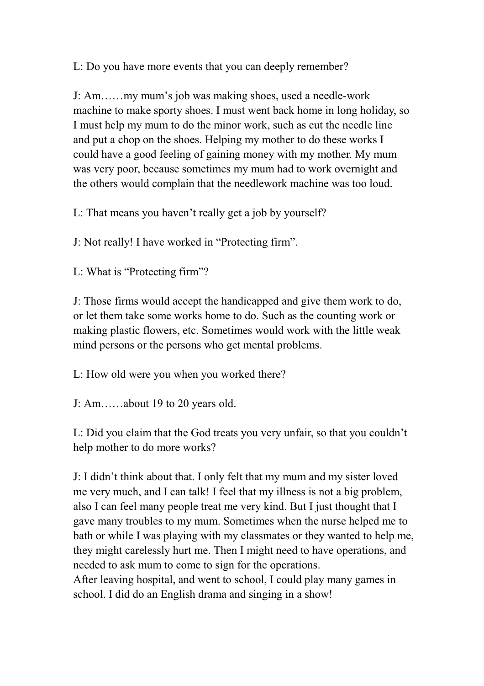L: Do you have more events that you can deeply remember?

J: Am.......my mum's job was making shoes, used a needle-work machine to make sporty shoes. I must went back home in long holiday, so I must help my mum to do the minor work, such as cut the needle line and put a chop on the shoes. Helping my mother to do these works I could have a good feeling of gaining money with my mother. My mum was very poor, because sometimes my mum had to work overnight and the others would complain that the needlework machine was too loud.

L: That means you haven't really get a job by yourself?

J: Not really! I have worked in "Protecting firm".

L: What is "Protecting firm"?

J: Those firms would accept the handicapped and give them work to do, or let them take some works home to do. Such as the counting work or making plastic flowers, etc. Sometimes would work with the little weak mind persons or the persons who get mental problems.

L: How old were you when you worked there?

J: Am......about 19 to 20 years old.

L: Did you claim that the God treats you very unfair, so that you couldn't help mother to do more works?

J: I didn't think about that. I only felt that my mum and my sister loved me very much, and I can talk! I feel that my illness is not a big problem, also I can feel many people treat me very kind. But I just thought that I gave many troubles to my mum. Sometimes when the nurse helped me to bath or while I was playing with my classmates or they wanted to help me, they might carelessly hurt me. Then I might need to have operations, and needed to ask mum to come to sign for the operations. After leaving hospital, and went to school, I could play many games in school. I did do an English drama and singing in a show!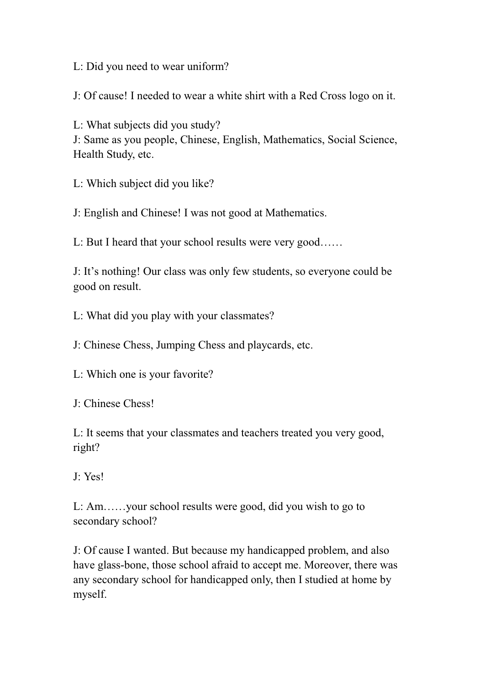L: Did you need to wear uniform?

J: Of cause! I needed to wear a white shirt with a Red Cross logo on it.

L: What subjects did you study?

J: Same as you people, Chinese, English, Mathematics, Social Science, Health Study, etc.

L: Which subject did you like?

J: English and Chinese! I was not good at Mathematics.

L: But I heard that your school results were very good......

J: It's nothing! Our class was only few students, so everyone could be good on result.

L: What did you play with your classmates?

J: Chinese Chess, Jumping Chess and playcards, etc.

L: Which one is your favorite?

J: Chinese Chess!

L: It seems that your classmates and teachers treated you very good, right?

J: Yes!

L: Am......your school results were good, did you wish to go to secondary school?

J: Of cause I wanted. But because my handicapped problem, and also have glass-bone, those school afraid to accept me. Moreover, there was any secondary school for handicapped only, then I studied at home by myself.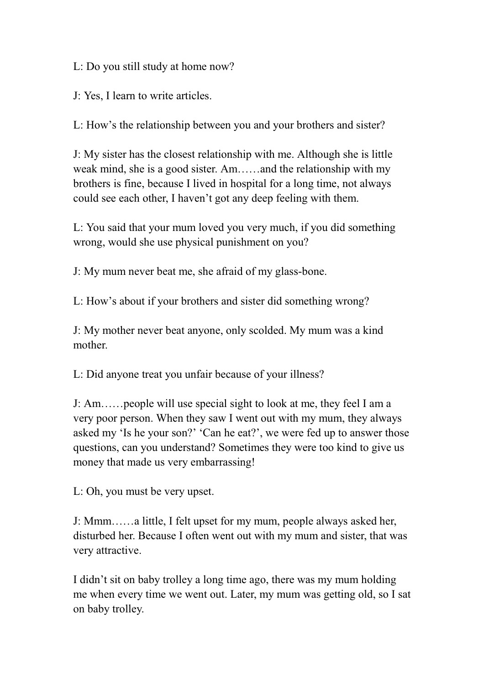L: Do you still study at home now?

J: Yes, I learn to write articles.

L: How's the relationship between you and your brothers and sister?

J: My sister has the closest relationship with me. Although she is little weak mind, she is a good sister. Am......and the relationship with my brothers is fine, because I lived in hospital for a long time, not always could see each other, I haven't got any deep feeling with them.

L: You said that your mum loved you very much, if you did something wrong, would she use physical punishment on you?

J: My mum never beat me, she afraid of my glass-bone.

L: How's about if your brothers and sister did something wrong?

J: My mother never beat anyone, only scolded. My mum was a kind mother.

L: Did anyone treat you unfair because of your illness?

J: Am......people will use special sight to look at me, they feel I am a very poor person. When they saw I went out with my mum, they always asked my 'Is he your son?' 'Can he eat?', we were fed up to answer those questions, can you understand? Sometimes they were too kind to give us money that made us very embarrassing!

L: Oh, you must be very upset.

J: Mmm......a little, I felt upset for my mum, people always asked her. disturbed her. Because I often went out with my mum and sister, that was very attractive.

I didn't sit on baby trolley a long time ago, there was my mum holding me when every time we went out. Later, my mum was getting old, so I sat on baby trolley.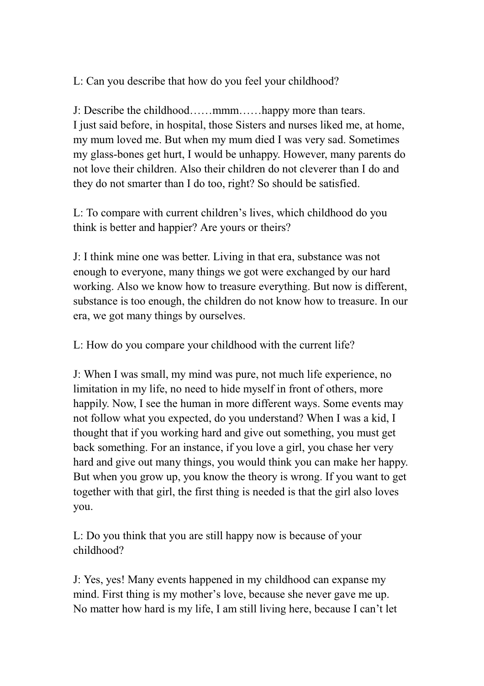L: Can you describe that how do you feel your childhood?

J: Describe the childhood......mmm......happy more than tears. I just said before, in hospital, those Sisters and nurses liked me, at home, my mum loved me. But when my mum died I was very sad. Sometimes my glass-bones get hurt, I would be unhappy. However, many parents do not love their children. Also their children do not cleverer than I do and they do not smarter than I do too, right? So should be satisfied.

L: To compare with current children's lives, which childhood do you think is better and happier? Are yours or theirs?

J: I think mine one was better. Living in that era, substance was not enough to everyone, many things we got were exchanged by our hard working. Also we know how to treasure everything. But now is different, substance is too enough, the children do not know how to treasure. In our era, we got many things by ourselves.

L: How do you compare your childhood with the current life?

J: When I was small, my mind was pure, not much life experience, no limitation in my life, no need to hide myself in front of others, more happily. Now, I see the human in more different ways. Some events may not follow what you expected, do you understand? When I was a kid, I thought that if you working hard and give out something, you must get back something. For an instance, if you love a girl, you chase her very hard and give out many things, you would think you can make her happy. But when you grow up, you know the theory is wrong. If you want to get together with that girl, the first thing is needed is that the girl also loves you.

L: Do you think that you are still happy now is because of your childhood?

J: Yes, yes! Many events happened in my childhood can expanse my mind. First thing is my mother's love, because she never gave me up. No matter how hard is my life, I am still living here, because I can't let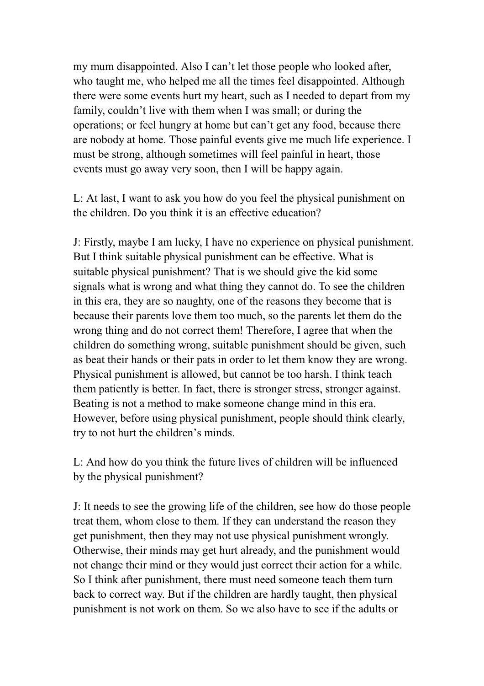my mum disappointed. Also I can't let those people who looked after, who taught me, who helped me all the times feel disappointed. Although there were some events hurt my heart, such as I needed to depart from my family, couldn't live with them when I was small; or during the operations; or feel hungry at home but can't get any food, because there are nobody at home. Those painful events give me much life experience. I must be strong, although sometimes will feel painful in heart, those events must go away very soon, then I will be happy again.

L: At last, I want to ask you how do you feel the physical punishment on the children. Do you think it is an effective education?

J: Firstly, maybe I am lucky, I have no experience on physical punishment. But I think suitable physical punishment can be effective. What is suitable physical punishment? That is we should give the kid some signals what is wrong and what thing they cannot do. To see the children in this era, they are so naughty, one of the reasons they become that is because their parents love them too much, so the parents let them do the wrong thing and do not correct them! Therefore, I agree that when the children do something wrong, suitable punishment should be given, such as beat their hands or their pats in order to let them know they are wrong. Physical punishment is allowed, but cannot be too harsh. I think teach them patiently is better. In fact, there is stronger stress, stronger against. Beating is not a method to make someone change mind in this era. However, before using physical punishment, people should think clearly, try to not hurt the children's minds.

L: And how do you think the future lives of children will be influenced by the physical punishment?

J: It needs to see the growing life of the children, see how do those people treat them, whom close to them. If they can understand the reason they get punishment, then they may not use physical punishment wrongly. Otherwise, their minds may get hurt already, and the punishment would not change their mind or they would just correct their action for a while. So I think after punishment, there must need someone teach them turn back to correct way. But if the children are hardly taught, then physical punishment is not work on them. So we also have to see if the adults or